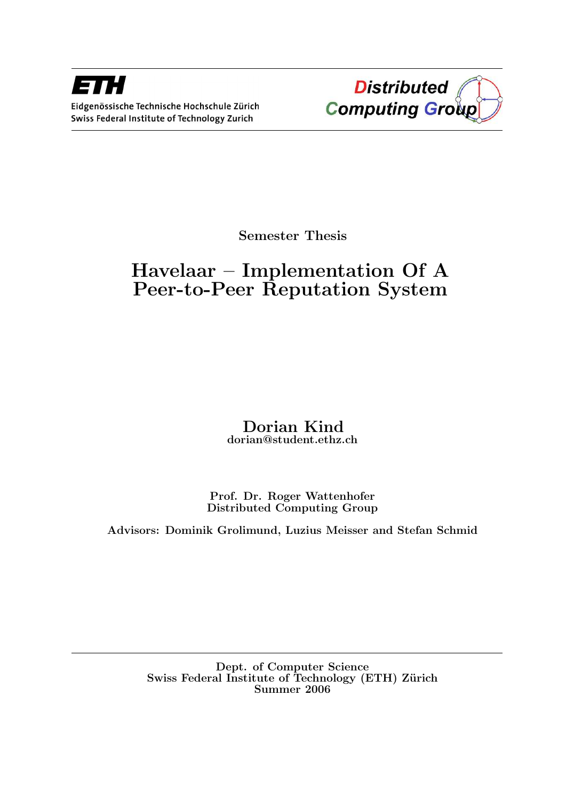

Semester Thesis

# Havelaar – Implementation Of A Peer-to-Peer Reputation System

# Dorian Kind dorian@student.ethz.ch

Prof. Dr. Roger Wattenhofer Distributed Computing Group

Advisors: Dominik Grolimund, Luzius Meisser and Stefan Schmid

Dept. of Computer Science Swiss Federal Institute of Technology (ETH) Zürich Summer 2006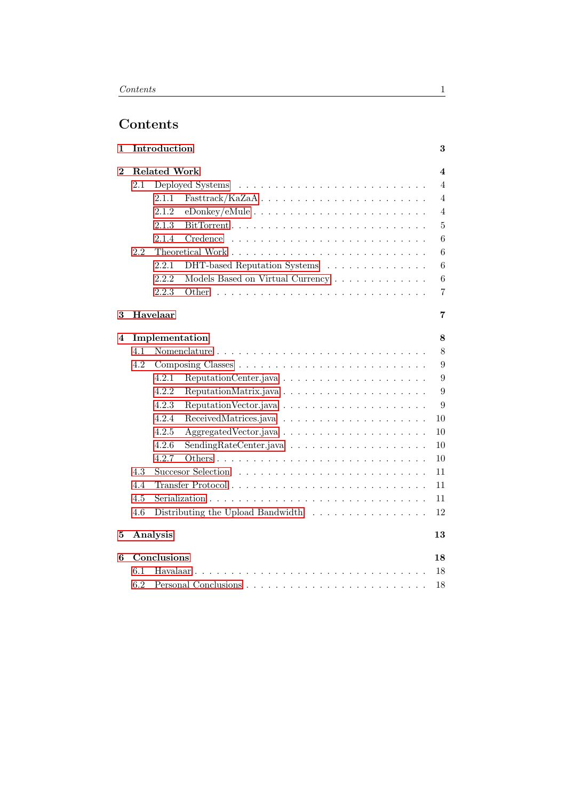# Contents

| 1        |                         | Introduction        |                                   | 3                       |  |  |  |  |  |  |  |  |  |
|----------|-------------------------|---------------------|-----------------------------------|-------------------------|--|--|--|--|--|--|--|--|--|
| $\bf{2}$ |                         | <b>Related Work</b> |                                   | $\overline{\mathbf{4}}$ |  |  |  |  |  |  |  |  |  |
|          | 2.1<br>Deployed Systems |                     |                                   |                         |  |  |  |  |  |  |  |  |  |
|          |                         | 2.1.1               |                                   | $\overline{4}$          |  |  |  |  |  |  |  |  |  |
|          |                         | 2.1.2               |                                   | $\overline{4}$          |  |  |  |  |  |  |  |  |  |
|          |                         | 2.1.3               |                                   | $\overline{5}$          |  |  |  |  |  |  |  |  |  |
|          |                         | 2.1.4<br>Credence   |                                   | 6                       |  |  |  |  |  |  |  |  |  |
|          | 2.2                     |                     |                                   | 6                       |  |  |  |  |  |  |  |  |  |
|          |                         | 2.2.1               | DHT-based Reputation Systems      | 6                       |  |  |  |  |  |  |  |  |  |
|          |                         | 2.2.2               | Models Based on Virtual Currency  | 6                       |  |  |  |  |  |  |  |  |  |
|          |                         | 2.2.3<br>Other      |                                   | 7                       |  |  |  |  |  |  |  |  |  |
| 3        |                         | Havelaar            |                                   | 7                       |  |  |  |  |  |  |  |  |  |
| 4        | Implementation          |                     |                                   |                         |  |  |  |  |  |  |  |  |  |
|          | 4.1                     |                     |                                   | 8                       |  |  |  |  |  |  |  |  |  |
|          | 4.2                     |                     |                                   | 9                       |  |  |  |  |  |  |  |  |  |
|          |                         | 4.2.1               | ReputationCenter.java             | 9                       |  |  |  |  |  |  |  |  |  |
|          |                         | 4.2.2               |                                   | 9                       |  |  |  |  |  |  |  |  |  |
|          |                         | 4.2.3               |                                   | 9                       |  |  |  |  |  |  |  |  |  |
|          |                         | 4.2.4               |                                   | 10                      |  |  |  |  |  |  |  |  |  |
|          |                         | 4.2.5               |                                   | 10                      |  |  |  |  |  |  |  |  |  |
|          |                         | 4.2.6               |                                   | 10                      |  |  |  |  |  |  |  |  |  |
|          |                         | 4.2.7               |                                   | 10                      |  |  |  |  |  |  |  |  |  |
|          | 4.3                     |                     |                                   | 11                      |  |  |  |  |  |  |  |  |  |
|          | 4.4                     |                     |                                   | 11                      |  |  |  |  |  |  |  |  |  |
|          | 4.5                     |                     |                                   | 11                      |  |  |  |  |  |  |  |  |  |
|          | 4.6                     |                     | Distributing the Upload Bandwidth | 12                      |  |  |  |  |  |  |  |  |  |
| 5        |                         | Analysis            |                                   | 13                      |  |  |  |  |  |  |  |  |  |
| 6        |                         | Conclusions         |                                   | 18                      |  |  |  |  |  |  |  |  |  |
|          | 6.1                     | Havalaar.           |                                   | 18                      |  |  |  |  |  |  |  |  |  |
|          | 6.2                     |                     |                                   | 18                      |  |  |  |  |  |  |  |  |  |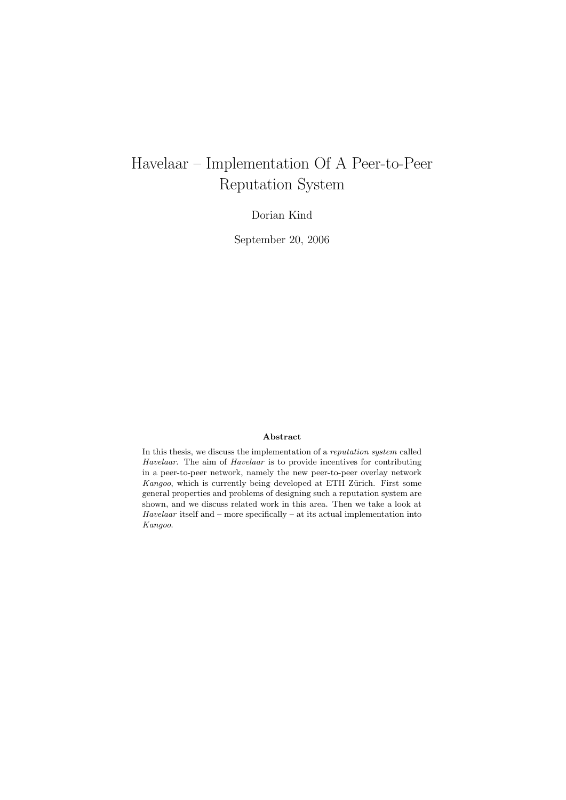# Havelaar – Implementation Of A Peer-to-Peer Reputation System

Dorian Kind

September 20, 2006

## Abstract

In this thesis, we discuss the implementation of a reputation system called Havelaar. The aim of Havelaar is to provide incentives for contributing in a peer-to-peer network, namely the new peer-to-peer overlay network Kangoo, which is currently being developed at ETH Zürich. First some general properties and problems of designing such a reputation system are shown, and we discuss related work in this area. Then we take a look at Havelaar itself and – more specifically – at its actual implementation into Kangoo.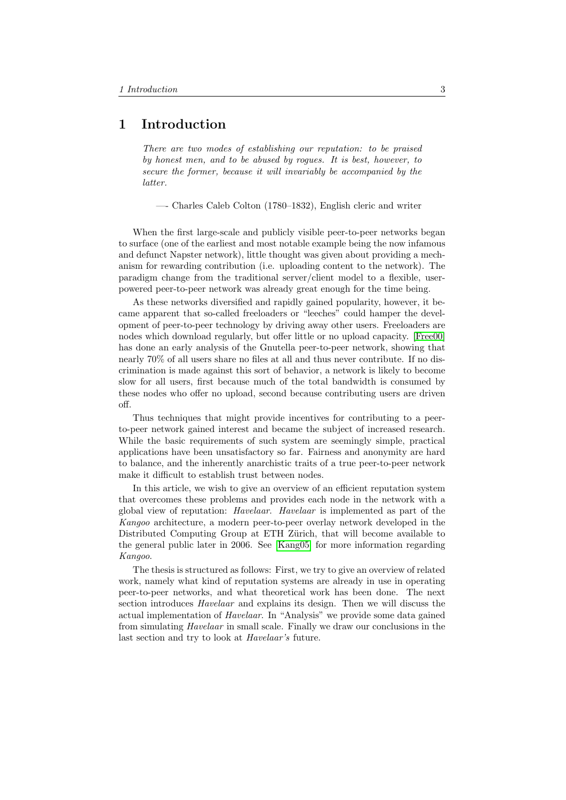# <span id="page-3-0"></span>1 Introduction

There are two modes of establishing our reputation: to be praised by honest men, and to be abused by rogues. It is best, however, to secure the former, because it will invariably be accompanied by the latter.

—- Charles Caleb Colton (1780–1832), English cleric and writer

When the first large-scale and publicly visible peer-to-peer networks began to surface (one of the earliest and most notable example being the now infamous and defunct Napster network), little thought was given about providing a mechanism for rewarding contribution (i.e. uploading content to the network). The paradigm change from the traditional server/client model to a flexible, userpowered peer-to-peer network was already great enough for the time being.

As these networks diversified and rapidly gained popularity, however, it became apparent that so-called freeloaders or "leeches" could hamper the development of peer-to-peer technology by driving away other users. Freeloaders are nodes which download regularly, but offer little or no upload capacity. [\[Free00\]](#page-20-0) has done an early analysis of the Gnutella peer-to-peer network, showing that nearly 70% of all users share no files at all and thus never contribute. If no discrimination is made against this sort of behavior, a network is likely to become slow for all users, first because much of the total bandwidth is consumed by these nodes who offer no upload, second because contributing users are driven off.

Thus techniques that might provide incentives for contributing to a peerto-peer network gained interest and became the subject of increased research. While the basic requirements of such system are seemingly simple, practical applications have been unsatisfactory so far. Fairness and anonymity are hard to balance, and the inherently anarchistic traits of a true peer-to-peer network make it difficult to establish trust between nodes.

In this article, we wish to give an overview of an efficient reputation system that overcomes these problems and provides each node in the network with a global view of reputation: Havelaar. Havelaar is implemented as part of the Kangoo architecture, a modern peer-to-peer overlay network developed in the Distributed Computing Group at ETH Zürich, that will become available to the general public later in 2006. See [\[Kang05\]](#page-20-1) for more information regarding Kangoo.

The thesis is structured as follows: First, we try to give an overview of related work, namely what kind of reputation systems are already in use in operating peer-to-peer networks, and what theoretical work has been done. The next section introduces Havelaar and explains its design. Then we will discuss the actual implementation of Havelaar. In "Analysis" we provide some data gained from simulating Havelaar in small scale. Finally we draw our conclusions in the last section and try to look at Havelaar's future.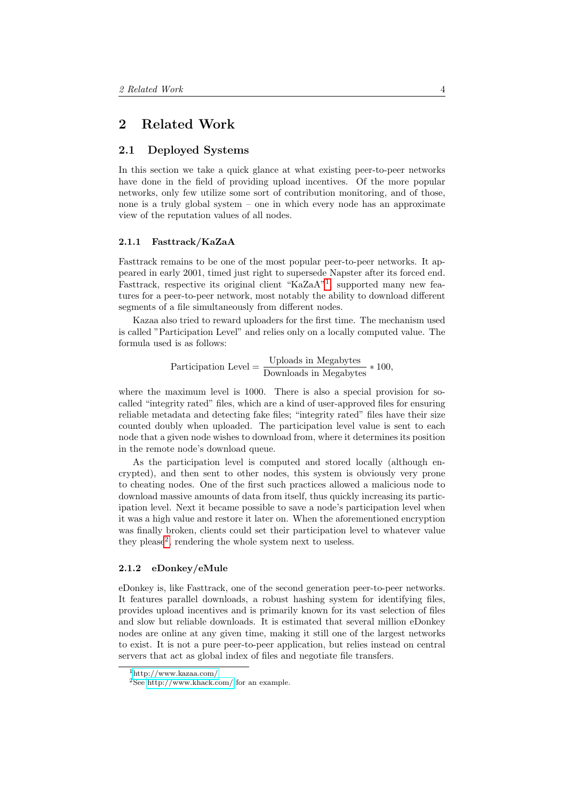# <span id="page-4-0"></span>2 Related Work

# <span id="page-4-1"></span>2.1 Deployed Systems

In this section we take a quick glance at what existing peer-to-peer networks have done in the field of providing upload incentives. Of the more popular networks, only few utilize some sort of contribution monitoring, and of those, none is a truly global system – one in which every node has an approximate view of the reputation values of all nodes.

#### <span id="page-4-2"></span>2.1.1 Fasttrack/KaZaA

Fasttrack remains to be one of the most popular peer-to-peer networks. It appeared in early 2001, timed just right to supersede Napster after its forced end. Fasttrack, respective its original client "KaZaA"<sup>[1](#page-4-4)</sup>, supported many new features for a peer-to-peer network, most notably the ability to download different segments of a file simultaneously from different nodes.

Kazaa also tried to reward uploaders for the first time. The mechanism used is called "Participation Level" and relies only on a locally computed value. The formula used is as follows:

Participation Level =  $\frac{\text{Uploads in Megabytes}}{\text{Downloads in Megabytes}} * 100,$ 

where the maximum level is 1000. There is also a special provision for socalled "integrity rated" files, which are a kind of user-approved files for ensuring reliable metadata and detecting fake files; "integrity rated" files have their size counted doubly when uploaded. The participation level value is sent to each node that a given node wishes to download from, where it determines its position in the remote node's download queue.

As the participation level is computed and stored locally (although encrypted), and then sent to other nodes, this system is obviously very prone to cheating nodes. One of the first such practices allowed a malicious node to download massive amounts of data from itself, thus quickly increasing its participation level. Next it became possible to save a node's participation level when it was a high value and restore it later on. When the aforementioned encryption was finally broken, clients could set their participation level to whatever value they please<sup>[2](#page-4-5)</sup>, rendering the whole system next to useless.

#### <span id="page-4-3"></span>2.1.2 eDonkey/eMule

eDonkey is, like Fasttrack, one of the second generation peer-to-peer networks. It features parallel downloads, a robust hashing system for identifying files, provides upload incentives and is primarily known for its vast selection of files and slow but reliable downloads. It is estimated that several million eDonkey nodes are online at any given time, making it still one of the largest networks to exist. It is not a pure peer-to-peer application, but relies instead on central servers that act as global index of files and negotiate file transfers.

<span id="page-4-4"></span><sup>1</sup><http://www.kazaa.com/>

<span id="page-4-5"></span><sup>2</sup>See<http://www.khack.com/> for an example.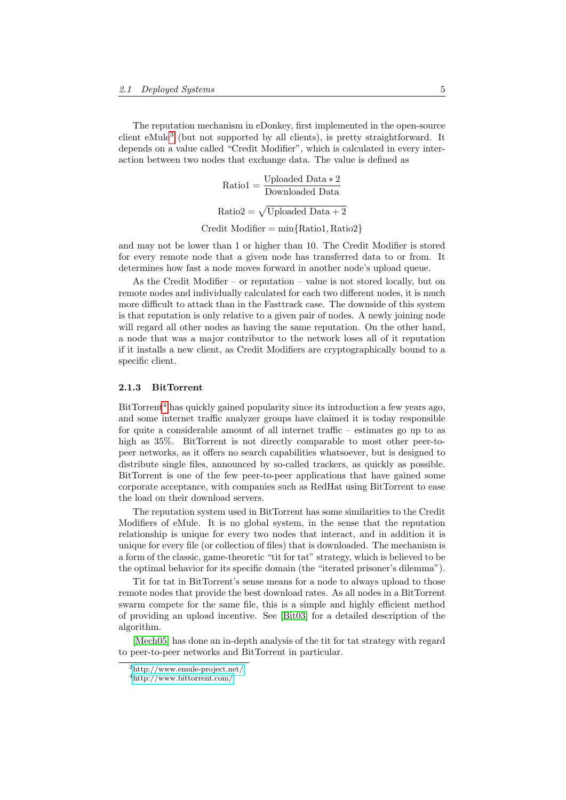The reputation mechanism in eDonkey, first implemented in the open-source client eMule[3](#page-5-1) (but not supported by all clients), is pretty straightforward. It depends on a value called "Credit Modifier", which is calculated in every interaction between two nodes that exchange data. The value is defined as

> $\text{Ratio1} = \frac{\text{Unloaded Data} * 2}{\text{Downloaded Data}}$  $Ratio2 = \sqrt{Unloaded Data + 2}$

 $Credit$  Modifier = min ${Ratio1, Ratio2}$ 

and may not be lower than 1 or higher than 10. The Credit Modifier is stored for every remote node that a given node has transferred data to or from. It determines how fast a node moves forward in another node's upload queue.

As the Credit Modifier – or reputation – value is not stored locally, but on remote nodes and individually calculated for each two different nodes, it is much more difficult to attack than in the Fasttrack case. The downside of this system is that reputation is only relative to a given pair of nodes. A newly joining node will regard all other nodes as having the same reputation. On the other hand, a node that was a major contributor to the network loses all of it reputation if it installs a new client, as Credit Modifiers are cryptographically bound to a specific client.

#### <span id="page-5-0"></span>2.1.3 BitTorrent

BitTorrent<sup>[4](#page-5-2)</sup> has quickly gained popularity since its introduction a few years ago, and some internet traffic analyzer groups have claimed it is today responsible for quite a considerable amount of all internet traffic – estimates go up to as high as 35%. BitTorrent is not directly comparable to most other peer-topeer networks, as it offers no search capabilities whatsoever, but is designed to distribute single files, announced by so-called trackers, as quickly as possible. BitTorrent is one of the few peer-to-peer applications that have gained some corporate acceptance, with companies such as RedHat using BitTorrent to ease the load on their download servers.

The reputation system used in BitTorrent has some similarities to the Credit Modifiers of eMule. It is no global system, in the sense that the reputation relationship is unique for every two nodes that interact, and in addition it is unique for every file (or collection of files) that is downloaded. The mechanism is a form of the classic, game-theoretic "tit for tat" strategy, which is believed to be the optimal behavior for its specific domain (the "iterated prisoner's dilemma").

Tit for tat in BitTorrent's sense means for a node to always upload to those remote nodes that provide the best download rates. As all nodes in a BitTorrent swarm compete for the same file, this is a simple and highly efficient method of providing an upload incentive. See [\[Bit03\]](#page-20-2) for a detailed description of the algorithm.

[\[Mech05\]](#page-20-3) has done an in-depth analysis of the tit for tat strategy with regard to peer-to-peer networks and BitTorrent in particular.

<span id="page-5-1"></span><sup>3</sup><http://www.emule-project.net/>

<span id="page-5-2"></span><sup>4</sup>[http://www.bittorrent.com/](http://www.bittorrent.com/index.html)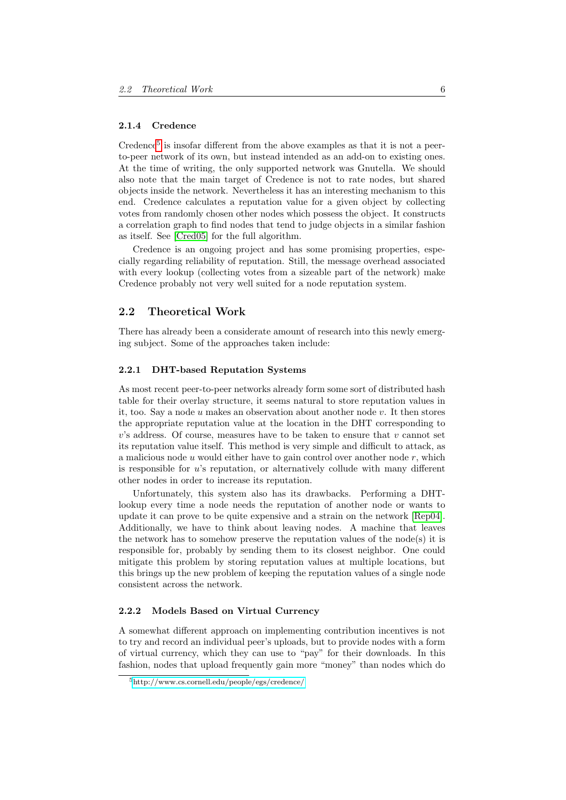#### <span id="page-6-0"></span>2.1.4 Credence

 $C$ redence<sup>[5](#page-6-4)</sup> is insofar different from the above examples as that it is not a peerto-peer network of its own, but instead intended as an add-on to existing ones. At the time of writing, the only supported network was Gnutella. We should also note that the main target of Credence is not to rate nodes, but shared objects inside the network. Nevertheless it has an interesting mechanism to this end. Credence calculates a reputation value for a given object by collecting votes from randomly chosen other nodes which possess the object. It constructs a correlation graph to find nodes that tend to judge objects in a similar fashion as itself. See [\[Cred05\]](#page-20-4) for the full algorithm.

Credence is an ongoing project and has some promising properties, especially regarding reliability of reputation. Still, the message overhead associated with every lookup (collecting votes from a sizeable part of the network) make Credence probably not very well suited for a node reputation system.

## <span id="page-6-1"></span>2.2 Theoretical Work

There has already been a considerate amount of research into this newly emerging subject. Some of the approaches taken include:

## <span id="page-6-2"></span>2.2.1 DHT-based Reputation Systems

As most recent peer-to-peer networks already form some sort of distributed hash table for their overlay structure, it seems natural to store reputation values in it, too. Say a node u makes an observation about another node v. It then stores the appropriate reputation value at the location in the DHT corresponding to  $v$ 's address. Of course, measures have to be taken to ensure that  $v$  cannot set its reputation value itself. This method is very simple and difficult to attack, as a malicious node  $u$  would either have to gain control over another node  $r$ , which is responsible for u's reputation, or alternatively collude with many different other nodes in order to increase its reputation.

Unfortunately, this system also has its drawbacks. Performing a DHTlookup every time a node needs the reputation of another node or wants to update it can prove to be quite expensive and a strain on the network [\[Rep04\]](#page-20-5). Additionally, we have to think about leaving nodes. A machine that leaves the network has to somehow preserve the reputation values of the node(s) it is responsible for, probably by sending them to its closest neighbor. One could mitigate this problem by storing reputation values at multiple locations, but this brings up the new problem of keeping the reputation values of a single node consistent across the network.

#### <span id="page-6-3"></span>2.2.2 Models Based on Virtual Currency

A somewhat different approach on implementing contribution incentives is not to try and record an individual peer's uploads, but to provide nodes with a form of virtual currency, which they can use to "pay" for their downloads. In this fashion, nodes that upload frequently gain more "money" than nodes which do

<span id="page-6-4"></span><sup>5</sup><http://www.cs.cornell.edu/people/egs/credence/>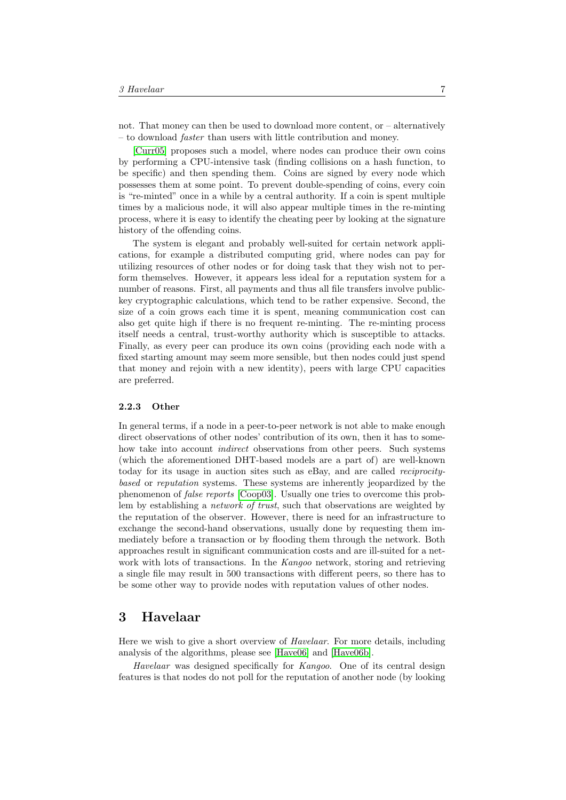not. That money can then be used to download more content, or  $-$  alternatively – to download faster than users with little contribution and money.

[\[Curr05\]](#page-20-6) proposes such a model, where nodes can produce their own coins by performing a CPU-intensive task (finding collisions on a hash function, to be specific) and then spending them. Coins are signed by every node which possesses them at some point. To prevent double-spending of coins, every coin is "re-minted" once in a while by a central authority. If a coin is spent multiple times by a malicious node, it will also appear multiple times in the re-minting process, where it is easy to identify the cheating peer by looking at the signature history of the offending coins.

The system is elegant and probably well-suited for certain network applications, for example a distributed computing grid, where nodes can pay for utilizing resources of other nodes or for doing task that they wish not to perform themselves. However, it appears less ideal for a reputation system for a number of reasons. First, all payments and thus all file transfers involve publickey cryptographic calculations, which tend to be rather expensive. Second, the size of a coin grows each time it is spent, meaning communication cost can also get quite high if there is no frequent re-minting. The re-minting process itself needs a central, trust-worthy authority which is susceptible to attacks. Finally, as every peer can produce its own coins (providing each node with a fixed starting amount may seem more sensible, but then nodes could just spend that money and rejoin with a new identity), peers with large CPU capacities are preferred.

#### <span id="page-7-0"></span>2.2.3 Other

In general terms, if a node in a peer-to-peer network is not able to make enough direct observations of other nodes' contribution of its own, then it has to somehow take into account *indirect* observations from other peers. Such systems (which the aforementioned DHT-based models are a part of) are well-known today for its usage in auction sites such as eBay, and are called reciprocitybased or reputation systems. These systems are inherently jeopardized by the phenomenon of false reports [\[Coop03\]](#page-20-7). Usually one tries to overcome this problem by establishing a *network of trust*, such that observations are weighted by the reputation of the observer. However, there is need for an infrastructure to exchange the second-hand observations, usually done by requesting them immediately before a transaction or by flooding them through the network. Both approaches result in significant communication costs and are ill-suited for a network with lots of transactions. In the Kangoo network, storing and retrieving a single file may result in 500 transactions with different peers, so there has to be some other way to provide nodes with reputation values of other nodes.

# <span id="page-7-1"></span>3 Havelaar

Here we wish to give a short overview of Havelaar. For more details, including analysis of the algorithms, please see [\[Have06\]](#page-20-8) and [\[Have06b\]](#page-20-9).

Havelaar was designed specifically for Kangoo. One of its central design features is that nodes do not poll for the reputation of another node (by looking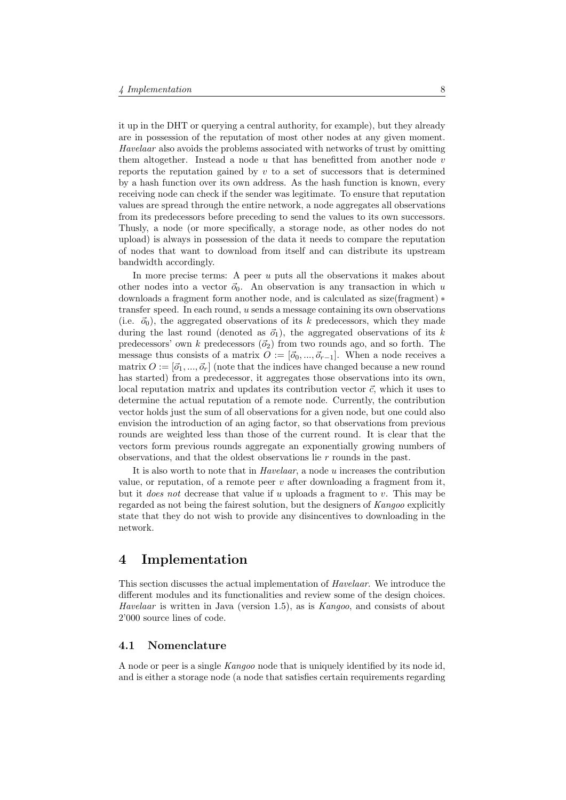it up in the DHT or querying a central authority, for example), but they already are in possession of the reputation of most other nodes at any given moment. Havelaar also avoids the problems associated with networks of trust by omitting them altogether. Instead a node  $u$  that has benefitted from another node  $v$ reports the reputation gained by  $v$  to a set of successors that is determined by a hash function over its own address. As the hash function is known, every receiving node can check if the sender was legitimate. To ensure that reputation values are spread through the entire network, a node aggregates all observations from its predecessors before preceding to send the values to its own successors. Thusly, a node (or more specifically, a storage node, as other nodes do not upload) is always in possession of the data it needs to compare the reputation of nodes that want to download from itself and can distribute its upstream bandwidth accordingly.

In more precise terms: A peer  $u$  puts all the observations it makes about other nodes into a vector  $\vec{o}_0$ . An observation is any transaction in which u downloads a fragment form another node, and is calculated as size(fragment) ∗ transfer speed. In each round,  $u$  sends a message containing its own observations (i.e.  $\vec{o}_0$ ), the aggregated observations of its k predecessors, which they made during the last round (denoted as  $\vec{\sigma}_1$ ), the aggregated observations of its k predecessors' own k predecessors  $(\vec{\sigma}_2)$  from two rounds ago, and so forth. The message thus consists of a matrix  $O := [\vec{a}_0, ..., \vec{a}_{r-1}]$ . When a node receives a matrix  $O := [\vec{o}_1, ..., \vec{o}_r]$  (note that the indices have changed because a new round has started) from a predecessor, it aggregates those observations into its own, local reputation matrix and updates its contribution vector  $\vec{c}$ , which it uses to determine the actual reputation of a remote node. Currently, the contribution vector holds just the sum of all observations for a given node, but one could also envision the introduction of an aging factor, so that observations from previous rounds are weighted less than those of the current round. It is clear that the vectors form previous rounds aggregate an exponentially growing numbers of observations, and that the oldest observations lie r rounds in the past.

It is also worth to note that in Havelaar, a node u increases the contribution value, or reputation, of a remote peer  $v$  after downloading a fragment from it, but it *does not* decrease that value if u uploads a fragment to  $v$ . This may be regarded as not being the fairest solution, but the designers of Kangoo explicitly state that they do not wish to provide any disincentives to downloading in the network.

# <span id="page-8-0"></span>4 Implementation

This section discusses the actual implementation of Havelaar. We introduce the different modules and its functionalities and review some of the design choices. Havelaar is written in Java (version 1.5), as is Kangoo, and consists of about 2'000 source lines of code.

## <span id="page-8-1"></span>4.1 Nomenclature

A node or peer is a single Kangoo node that is uniquely identified by its node id, and is either a storage node (a node that satisfies certain requirements regarding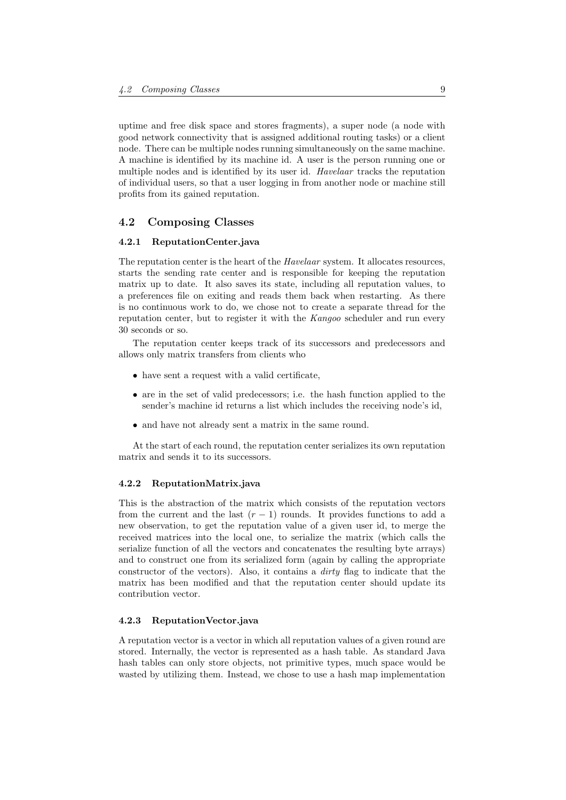uptime and free disk space and stores fragments), a super node (a node with good network connectivity that is assigned additional routing tasks) or a client node. There can be multiple nodes running simultaneously on the same machine. A machine is identified by its machine id. A user is the person running one or multiple nodes and is identified by its user id. Havelaar tracks the reputation of individual users, so that a user logging in from another node or machine still profits from its gained reputation.

## <span id="page-9-0"></span>4.2 Composing Classes

#### <span id="page-9-1"></span>4.2.1 ReputationCenter.java

The reputation center is the heart of the *Havelaar* system. It allocates resources, starts the sending rate center and is responsible for keeping the reputation matrix up to date. It also saves its state, including all reputation values, to a preferences file on exiting and reads them back when restarting. As there is no continuous work to do, we chose not to create a separate thread for the reputation center, but to register it with the Kangoo scheduler and run every 30 seconds or so.

The reputation center keeps track of its successors and predecessors and allows only matrix transfers from clients who

- have sent a request with a valid certificate,
- are in the set of valid predecessors; i.e. the hash function applied to the sender's machine id returns a list which includes the receiving node's id,
- and have not already sent a matrix in the same round.

At the start of each round, the reputation center serializes its own reputation matrix and sends it to its successors.

#### <span id="page-9-2"></span>4.2.2 ReputationMatrix.java

This is the abstraction of the matrix which consists of the reputation vectors from the current and the last  $(r - 1)$  rounds. It provides functions to add a new observation, to get the reputation value of a given user id, to merge the received matrices into the local one, to serialize the matrix (which calls the serialize function of all the vectors and concatenates the resulting byte arrays) and to construct one from its serialized form (again by calling the appropriate constructor of the vectors). Also, it contains a dirty flag to indicate that the matrix has been modified and that the reputation center should update its contribution vector.

#### <span id="page-9-3"></span>4.2.3 ReputationVector.java

A reputation vector is a vector in which all reputation values of a given round are stored. Internally, the vector is represented as a hash table. As standard Java hash tables can only store objects, not primitive types, much space would be wasted by utilizing them. Instead, we chose to use a hash map implementation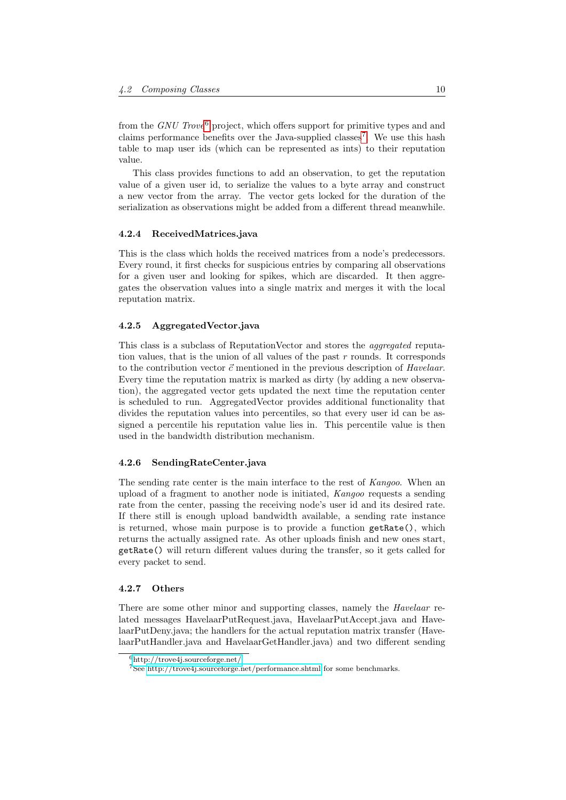from the GNU Trove<sup>[6](#page-10-4)</sup> project, which offers support for primitive types and and claims performance benefits over the Java-supplied classes<sup>[7](#page-10-5)</sup>. We use this hash table to map user ids (which can be represented as ints) to their reputation value.

This class provides functions to add an observation, to get the reputation value of a given user id, to serialize the values to a byte array and construct a new vector from the array. The vector gets locked for the duration of the serialization as observations might be added from a different thread meanwhile.

## <span id="page-10-0"></span>4.2.4 ReceivedMatrices.java

This is the class which holds the received matrices from a node's predecessors. Every round, it first checks for suspicious entries by comparing all observations for a given user and looking for spikes, which are discarded. It then aggregates the observation values into a single matrix and merges it with the local reputation matrix.

## <span id="page-10-1"></span>4.2.5 AggregatedVector.java

This class is a subclass of ReputationVector and stores the aggregated reputation values, that is the union of all values of the past  $r$  rounds. It corresponds to the contribution vector  $\vec{c}$  mentioned in the previous description of Havelaar. Every time the reputation matrix is marked as dirty (by adding a new observation), the aggregated vector gets updated the next time the reputation center is scheduled to run. AggregatedVector provides additional functionality that divides the reputation values into percentiles, so that every user id can be assigned a percentile his reputation value lies in. This percentile value is then used in the bandwidth distribution mechanism.

#### <span id="page-10-2"></span>4.2.6 SendingRateCenter.java

The sending rate center is the main interface to the rest of Kangoo. When an upload of a fragment to another node is initiated, Kangoo requests a sending rate from the center, passing the receiving node's user id and its desired rate. If there still is enough upload bandwidth available, a sending rate instance is returned, whose main purpose is to provide a function getRate(), which returns the actually assigned rate. As other uploads finish and new ones start, getRate() will return different values during the transfer, so it gets called for every packet to send.

#### <span id="page-10-3"></span>4.2.7 Others

There are some other minor and supporting classes, namely the *Havelaar* related messages HavelaarPutRequest.java, HavelaarPutAccept.java and HavelaarPutDeny.java; the handlers for the actual reputation matrix transfer (HavelaarPutHandler.java and HavelaarGetHandler.java) and two different sending

<span id="page-10-4"></span><sup>6</sup><http://trove4j.sourceforge.net/>

<span id="page-10-5"></span><sup>7</sup>See<http://trove4j.sourceforge.net/performance.shtml> for some benchmarks.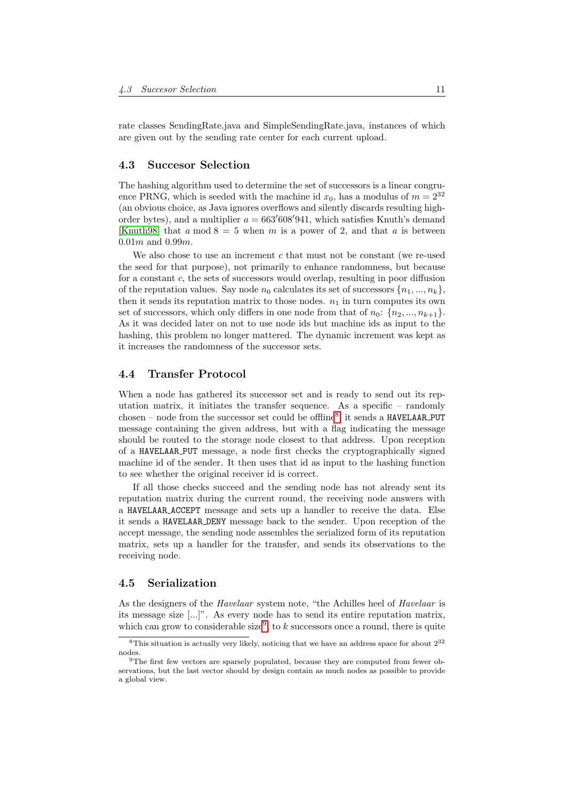rate classes SendingRate.java and SimpleSendingRate.java, instances of which are given out by the sending rate center for each current upload.

## <span id="page-11-0"></span>4.3 Succesor Selection

The hashing algorithm used to determine the set of successors is a linear congruence PRNG, which is seeded with the machine id  $x_0$ , has a modulus of  $m = 2^{32}$ (an obvious choice, as Java ignores overflows and silently discards resulting highorder bytes), and a multiplier  $a = 663'608'941$ , which satisfies Knuth's demand [\[Knuth98\]](#page-20-10) that  $a \mod 8 = 5$  when  $m$  is a power of 2, and that  $a$  is between  $0.01m$  and  $0.99m$ .

We also chose to use an increment  $c$  that must not be constant (we re-used the seed for that purpose), not primarily to enhance randomness, but because for a constant  $c$ , the sets of successors would overlap, resulting in poor diffusion of the reputation values. Say node  $n_0$  calculates its set of successors  $\{n_1, ..., n_k\}$ , then it sends its reputation matrix to those nodes.  $n_1$  in turn computes its own set of successors, which only differs in one node from that of  $n_0$ :  $\{n_2, ..., n_{k+1}\}.$ As it was decided later on not to use node ids but machine ids as input to the hashing, this problem no longer mattered. The dynamic increment was kept as it increases the randomness of the successor sets.

# <span id="page-11-1"></span>4.4 Transfer Protocol

When a node has gathered its successor set and is ready to send out its reputation matrix, it initiates the transfer sequence. As a specific – randomly chosen – node from the successor set could be offline<sup>[8](#page-11-3)</sup>, it sends a HAVELAAR\_PUT message containing the given address, but with a flag indicating the message should be routed to the storage node closest to that address. Upon reception of a HAVELAAR PUT message, a node first checks the cryptographically signed machine id of the sender. It then uses that id as input to the hashing function to see whether the original receiver id is correct.

If all those checks succeed and the sending node has not already sent its reputation matrix during the current round, the receiving node answers with a HAVELAAR ACCEPT message and sets up a handler to receive the data. Else it sends a HAVELAAR DENY message back to the sender. Upon reception of the accept message, the sending node assembles the serialized form of its reputation matrix, sets up a handler for the transfer, and sends its observations to the receiving node.

## <span id="page-11-2"></span>4.5 Serialization

As the designers of the *Havelaar* system note, "the Achilles heel of *Havelaar* is its message size [...]". As every node has to send its entire reputation matrix, which can grow to considerable size<sup>[9](#page-11-4)</sup>, to k successors once a round, there is quite

<span id="page-11-3"></span><sup>&</sup>lt;sup>8</sup>This situation is actually very likely, noticing that we have an address space for about  $2^{32}$ nodes.

<span id="page-11-4"></span><sup>&</sup>lt;sup>9</sup>The first few vectors are sparsely populated, because they are computed from fewer observations, but the last vector should by design contain as much nodes as possible to provide a global view.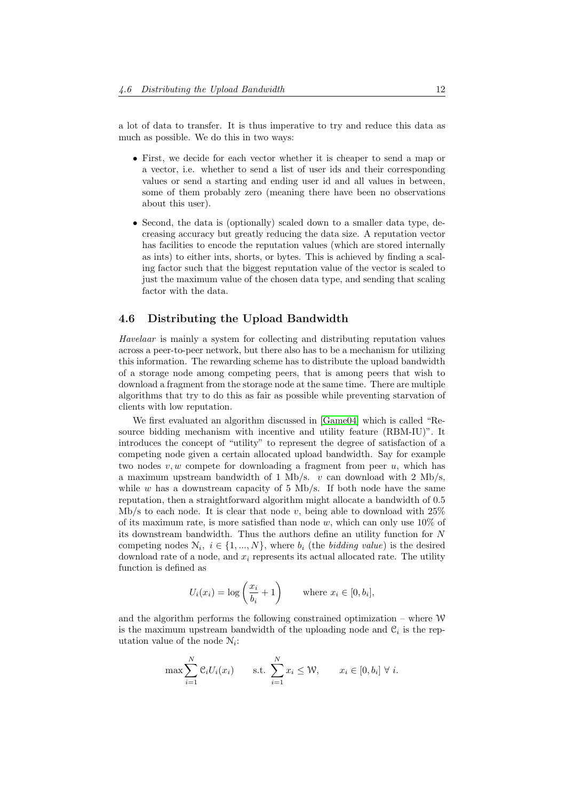a lot of data to transfer. It is thus imperative to try and reduce this data as much as possible. We do this in two ways:

- First, we decide for each vector whether it is cheaper to send a map or a vector, i.e. whether to send a list of user ids and their corresponding values or send a starting and ending user id and all values in between, some of them probably zero (meaning there have been no observations about this user).
- Second, the data is (optionally) scaled down to a smaller data type, decreasing accuracy but greatly reducing the data size. A reputation vector has facilities to encode the reputation values (which are stored internally as ints) to either ints, shorts, or bytes. This is achieved by finding a scaling factor such that the biggest reputation value of the vector is scaled to just the maximum value of the chosen data type, and sending that scaling factor with the data.

# <span id="page-12-0"></span>4.6 Distributing the Upload Bandwidth

Havelaar is mainly a system for collecting and distributing reputation values across a peer-to-peer network, but there also has to be a mechanism for utilizing this information. The rewarding scheme has to distribute the upload bandwidth of a storage node among competing peers, that is among peers that wish to download a fragment from the storage node at the same time. There are multiple algorithms that try to do this as fair as possible while preventing starvation of clients with low reputation.

We first evaluated an algorithm discussed in [\[Game04\]](#page-20-11) which is called "Resource bidding mechanism with incentive and utility feature (RBM-IU)". It introduces the concept of "utility" to represent the degree of satisfaction of a competing node given a certain allocated upload bandwidth. Say for example two nodes  $v, w$  compete for downloading a fragment from peer  $u$ , which has a maximum upstream bandwidth of 1 Mb/s.  $v$  can download with 2 Mb/s, while  $w$  has a downstream capacity of 5 Mb/s. If both node have the same reputation, then a straightforward algorithm might allocate a bandwidth of 0.5 Mb/s to each node. It is clear that node v, being able to download with  $25\%$ of its maximum rate, is more satisfied than node w, which can only use  $10\%$  of its downstream bandwidth. Thus the authors define an utility function for  $N$ competing nodes  $\mathcal{N}_i, i \in \{1, ..., N\}$ , where  $b_i$  (the *bidding value*) is the desired download rate of a node, and  $x_i$  represents its actual allocated rate. The utility function is defined as

$$
U_i(x_i) = \log\left(\frac{x_i}{b_i} + 1\right) \qquad \text{where } x_i \in [0, b_i],
$$

and the algorithm performs the following constrained optimization – where W is the maximum upstream bandwidth of the uploading node and  $\mathcal{C}_i$  is the reputation value of the node  $N_i$ :

$$
\max \sum_{i=1}^{N} \mathcal{C}_i U_i(x_i) \qquad \text{s.t. } \sum_{i=1}^{N} x_i \leq \mathcal{W}, \qquad x_i \in [0, b_i] \ \forall \ i.
$$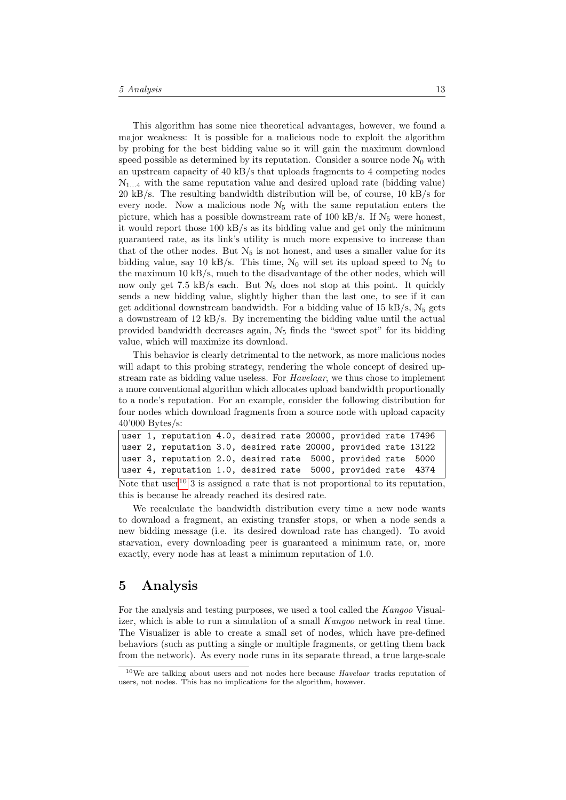This algorithm has some nice theoretical advantages, however, we found a major weakness: It is possible for a malicious node to exploit the algorithm by probing for the best bidding value so it will gain the maximum download speed possible as determined by its reputation. Consider a source node  $\mathcal{N}_0$  with an upstream capacity of 40 kB/s that uploads fragments to 4 competing nodes  $\mathcal{N}_{1,4}$  with the same reputation value and desired upload rate (bidding value) 20 kB/s. The resulting bandwidth distribution will be, of course, 10 kB/s for every node. Now a malicious node  $\mathcal{N}_5$  with the same reputation enters the picture, which has a possible downstream rate of 100 kB/s. If  $\mathcal{N}_5$  were honest, it would report those 100 kB/s as its bidding value and get only the minimum guaranteed rate, as its link's utility is much more expensive to increase than that of the other nodes. But  $\mathcal{N}_5$  is not honest, and uses a smaller value for its bidding value, say 10 kB/s. This time,  $\mathcal{N}_0$  will set its upload speed to  $\mathcal{N}_5$  to the maximum  $10 \text{ kB/s}$ , much to the disadvantage of the other nodes, which will now only get 7.5 kB/s each. But  $\mathcal{N}_5$  does not stop at this point. It quickly sends a new bidding value, slightly higher than the last one, to see if it can get additional downstream bandwidth. For a bidding value of  $15 \text{ kB/s}$ ,  $N_5$  gets a downstream of 12 kB/s. By incrementing the bidding value until the actual provided bandwidth decreases again,  $\mathcal{N}_5$  finds the "sweet spot" for its bidding value, which will maximize its download.

This behavior is clearly detrimental to the network, as more malicious nodes will adapt to this probing strategy, rendering the whole concept of desired upstream rate as bidding value useless. For Havelaar, we thus chose to implement a more conventional algorithm which allocates upload bandwidth proportionally to a node's reputation. For an example, consider the following distribution for four nodes which download fragments from a source node with upload capacity 40'000 Bytes/s:

|  | $\mathbf{r}$ , 10 $\mathbf{r}$ , 10 $\mathbf{r}$ , 1 $\mathbf{r}$ , 1 $\mathbf{r}$ , 1 $\mathbf{r}$ , 1 $\mathbf{r}$ |  |  |  |  |
|--|----------------------------------------------------------------------------------------------------------------------|--|--|--|--|
|  | user 4, reputation 1.0, desired rate 5000, provided rate 4374                                                        |  |  |  |  |
|  | user 3, reputation 2.0, desired rate 5000, provided rate 5000                                                        |  |  |  |  |
|  | user 2, reputation 3.0, desired rate 20000, provided rate 13122                                                      |  |  |  |  |
|  | user 1, reputation 4.0, desired rate 20000, provided rate 17496                                                      |  |  |  |  |

Note that user  $10^{\circ}$  $10^{\circ}$  3 is assigned a rate that is not proportional to its reputation, this is because he already reached its desired rate.

We recalculate the bandwidth distribution every time a new node wants to download a fragment, an existing transfer stops, or when a node sends a new bidding message (i.e. its desired download rate has changed). To avoid starvation, every downloading peer is guaranteed a minimum rate, or, more exactly, every node has at least a minimum reputation of 1.0.

# <span id="page-13-0"></span>5 Analysis

For the analysis and testing purposes, we used a tool called the Kangoo Visualizer, which is able to run a simulation of a small Kangoo network in real time. The Visualizer is able to create a small set of nodes, which have pre-defined behaviors (such as putting a single or multiple fragments, or getting them back from the network). As every node runs in its separate thread, a true large-scale

<span id="page-13-1"></span> $10$ We are talking about users and not nodes here because  $Havelaar$  tracks reputation of users, not nodes. This has no implications for the algorithm, however.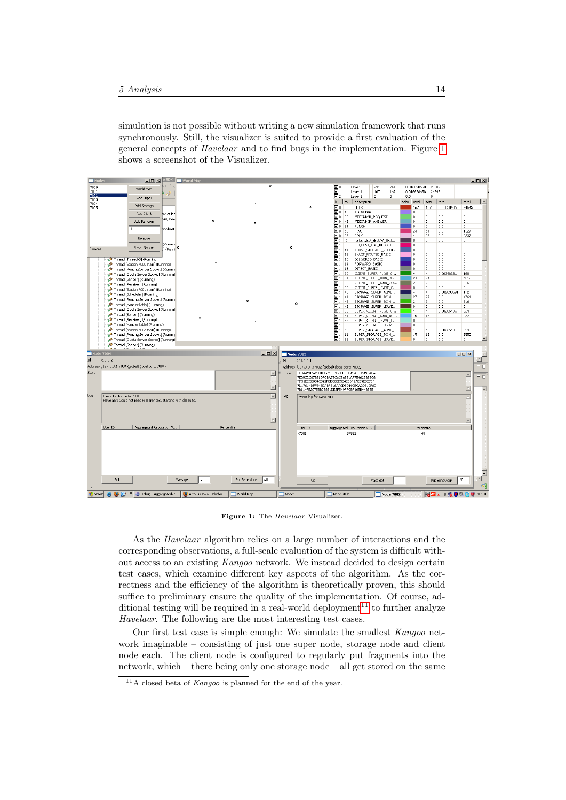simulation is not possible without writing a new simulation framework that runs synchronously. Still, the visualizer is suited to provide a first evaluation of the general concepts of Havelaar and to find bugs in the implementation. Figure [1](#page-14-0) shows a screenshot of the Visualizer.



<span id="page-14-0"></span>Figure 1: The Havelaar Visualizer.

As the Havelaar algorithm relies on a large number of interactions and the corresponding observations, a full-scale evaluation of the system is difficult without access to an existing Kangoo network. We instead decided to design certain test cases, which examine different key aspects of the algorithm. As the correctness and the efficiency of the algorithm is theoretically proven, this should suffice to preliminary ensure the quality of the implementation. Of course, ad-ditional testing will be required in a real-world deployment<sup>[11](#page-14-1)</sup> to further analyze Havelaar. The following are the most interesting test cases.

Our first test case is simple enough: We simulate the smallest Kangoo network imaginable – consisting of just one super node, storage node and client node each. The client node is configured to regularly put fragments into the network, which – there being only one storage node – all get stored on the same

<span id="page-14-1"></span> $11A$  closed beta of *Kangoo* is planned for the end of the year.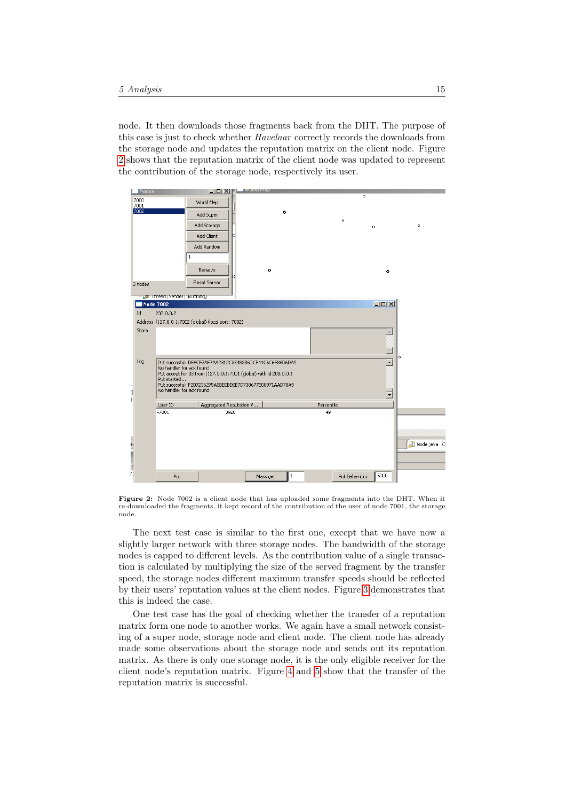node. It then downloads those fragments back from the DHT. The purpose of this case is just to check whether Havelaar correctly records the downloads from the storage node and updates the reputation matrix on the client node. Figure [2](#page-15-0) shows that the reputation matrix of the client node was updated to represent the contribution of the storage node, respectively its user.



<span id="page-15-0"></span>Figure 2: Node 7002 is a client node that has uploaded some fragments into the DHT. When it re-downloaded the fragments, it kept record of the contribution of the user of node 7001, the storage node.

The next test case is similar to the first one, except that we have now a slightly larger network with three storage nodes. The bandwidth of the storage nodes is capped to different levels. As the contribution value of a single transaction is calculated by multiplying the size of the served fragment by the transfer speed, the storage nodes different maximum transfer speeds should be reflected by their users' reputation values at the client nodes. Figure [3](#page-16-0) demonstrates that this is indeed the case.

One test case has the goal of checking whether the transfer of a reputation matrix form one node to another works. We again have a small network consisting of a super node, storage node and client node. The client node has already made some observations about the storage node and sends out its reputation matrix. As there is only one storage node, it is the only eligible receiver for the client node's reputation matrix. Figure [4](#page-17-0) and [5](#page-17-1) show that the transfer of the reputation matrix is successful.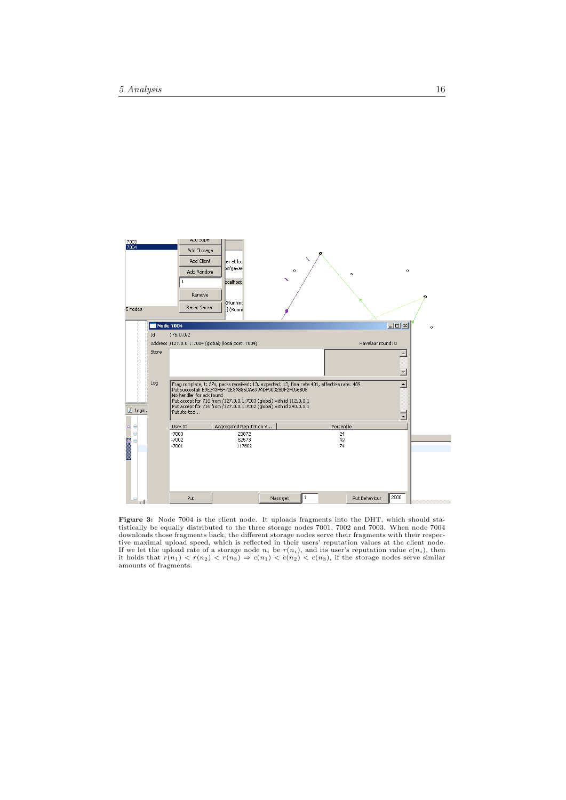

<span id="page-16-0"></span>Figure 3: Node 7004 is the client node. It uploads fragments into the DHT, which should sta-tistically be equally distributed to the three storage nodes 7001, 7002 and 7003. When node 7004 downloads those fragments back, the different storage nodes serve their fragments with their respec-<br>tive maximal upload speed, which is reflected in their users' reputation values at the client node.<br>If we let the upload amounts of fragments.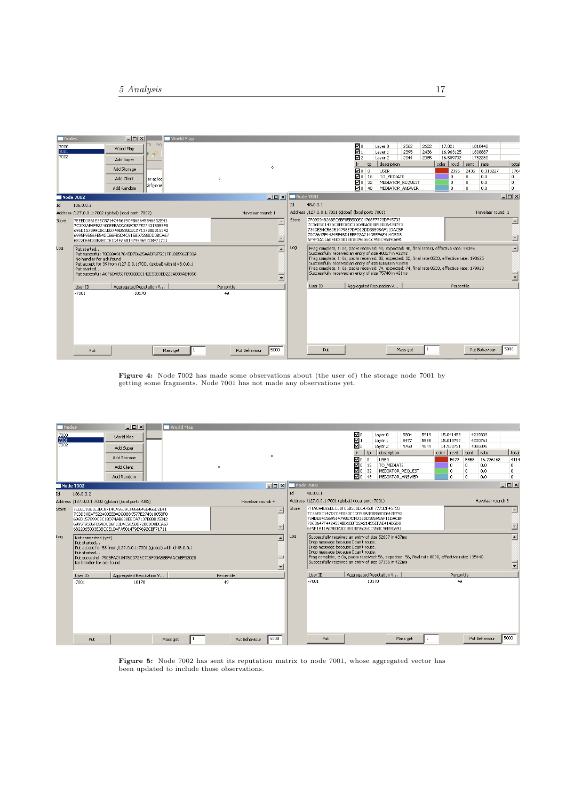|                            | ch Pro:<br>World Map<br>D<br>Add Super |                                                                                                                                  |                                                                                                                                                                                                                                                                                                                                                                                                                                |                                                                                                                                                                                                                                                                                                                                                                                                                                                                              |                                                                                                                                                                                                                                   |                                                  |                 |      |                            |                                                     |                                     |                                              | 17.021                |              |                                       |                                    |
|----------------------------|----------------------------------------|----------------------------------------------------------------------------------------------------------------------------------|--------------------------------------------------------------------------------------------------------------------------------------------------------------------------------------------------------------------------------------------------------------------------------------------------------------------------------------------------------------------------------------------------------------------------------|------------------------------------------------------------------------------------------------------------------------------------------------------------------------------------------------------------------------------------------------------------------------------------------------------------------------------------------------------------------------------------------------------------------------------------------------------------------------------|-----------------------------------------------------------------------------------------------------------------------------------------------------------------------------------------------------------------------------------|--------------------------------------------------|-----------------|------|----------------------------|-----------------------------------------------------|-------------------------------------|----------------------------------------------|-----------------------|--------------|---------------------------------------|------------------------------------|
|                            |                                        |                                                                                                                                  |                                                                                                                                                                                                                                                                                                                                                                                                                                |                                                                                                                                                                                                                                                                                                                                                                                                                                                                              |                                                                                                                                                                                                                                   |                                                  |                 |      | Layer 0                    | 2562                                                | 2622<br>2436                        |                                              |                       |              | 1818440                               |                                    |
|                            |                                        |                                                                                                                                  |                                                                                                                                                                                                                                                                                                                                                                                                                                |                                                                                                                                                                                                                                                                                                                                                                                                                                                                              |                                                                                                                                                                                                                                   | 몸<br>2395<br>Layer 1<br>☑2<br>Laver <sub>2</sub> |                 |      |                            |                                                     |                                     | 16.963125<br>1808887<br>16.589792<br>1752280 |                       |              |                                       |                                    |
|                            |                                        |                                                                                                                                  |                                                                                                                                                                                                                                                                                                                                                                                                                                |                                                                                                                                                                                                                                                                                                                                                                                                                                                                              |                                                                                                                                                                                                                                   |                                                  | 2044            | 2085 |                            | color rcvd                                          | sent                                | $ $ rate                                     | tota                  |              |                                       |                                    |
|                            | Add Storage                            |                                                                                                                                  |                                                                                                                                                                                                                                                                                                                                                                                                                                | $\circ$                                                                                                                                                                                                                                                                                                                                                                                                                                                                      |                                                                                                                                                                                                                                   |                                                  | ⊠० ०            | tp   | description<br><b>USER</b> |                                                     |                                     |                                              | 2395                  | 2436         | 8.313227                              | 176                                |
|                            |                                        |                                                                                                                                  |                                                                                                                                                                                                                                                                                                                                                                                                                                |                                                                                                                                                                                                                                                                                                                                                                                                                                                                              |                                                                                                                                                                                                                                   |                                                  |                 |      | TO MEDIATE                 |                                                     |                                     |                                              | $^{\circ}$            | $\mathbf{0}$ | 0.0.                                  | $\mathbf{0}$                       |
|                            |                                        |                                                                                                                                  |                                                                                                                                                                                                                                                                                                                                                                                                                                |                                                                                                                                                                                                                                                                                                                                                                                                                                                                              |                                                                                                                                                                                                                                   |                                                  |                 |      |                            |                                                     |                                     |                                              | 0                     | $\mathbf{0}$ | 0.0                                   | $\theta$                           |
|                            | Add Random                             |                                                                                                                                  |                                                                                                                                                                                                                                                                                                                                                                                                                                |                                                                                                                                                                                                                                                                                                                                                                                                                                                                              |                                                                                                                                                                                                                                   |                                                  | ⊠०              |      |                            |                                                     |                                     |                                              | 0                     | $^{\circ}$   | 0.0                                   | lo.                                |
|                            |                                        |                                                                                                                                  |                                                                                                                                                                                                                                                                                                                                                                                                                                |                                                                                                                                                                                                                                                                                                                                                                                                                                                                              | Node 7001                                                                                                                                                                                                                         |                                                  |                 |      |                            |                                                     |                                     |                                              |                       |              |                                       | $  D  \times$                      |
| 136.0.0.2                  |                                        |                                                                                                                                  |                                                                                                                                                                                                                                                                                                                                                                                                                                |                                                                                                                                                                                                                                                                                                                                                                                                                                                                              | Id                                                                                                                                                                                                                                |                                                  |                 |      |                            |                                                     |                                     |                                              |                       |              |                                       |                                    |
|                            |                                        |                                                                                                                                  |                                                                                                                                                                                                                                                                                                                                                                                                                                |                                                                                                                                                                                                                                                                                                                                                                                                                                                                              |                                                                                                                                                                                                                                   |                                                  |                 |      |                            |                                                     |                                     |                                              |                       |              |                                       |                                    |
|                            |                                        |                                                                                                                                  |                                                                                                                                                                                                                                                                                                                                                                                                                                | $\triangle$<br>$\overline{\mathbf{v}}$                                                                                                                                                                                                                                                                                                                                                                                                                                       | Store<br>7F09094B26BEC6BF05B500EC4768F7773DF45733<br>7C36E5C147DC0FE063C1DD9BA3E885BD06428793<br>734DE84C569514798E7DFD13DD38595AF11DACBF<br>70C3647F44245B4BD1BBF22A21435EFAE414D5D8<br>6F9F1A11AE9E02301BB18096D6CC958C96B90A91 |                                                  |                 |      |                            |                                                     |                                     |                                              |                       |              | $\triangle$<br>$\overline{\mathbf v}$ |                                    |
| Put started<br>Put started |                                        | $\overline{\phantom{a}}$<br>Ξ                                                                                                    | Log                                                                                                                                                                                                                                                                                                                                                                                                                            | Frag complete, t; Os, packs received; 40, expected; 40, final rate 0, effective rate; 98346<br>Successfully received an entry of size 40027 in 422ms<br>Frag complete, t: 0s, packs received: 82, expected: 82, final rate 8533, effective rate: 198625<br>Successfully received an entry of size 83820 in 438ms<br>Frag complete, t: 0s, packs received: 74, expected: 74, final rate 8533, effective rate: 179923<br>Successfully received an entry of size 75748 in 421ms |                                                                                                                                                                                                                                   |                                                  |                 |      |                            |                                                     |                                     |                                              | $\blacktriangle$<br>╤ |              |                                       |                                    |
| User ID                    | Aggregated Reputation V                |                                                                                                                                  | Percentile                                                                                                                                                                                                                                                                                                                                                                                                                     |                                                                                                                                                                                                                                                                                                                                                                                                                                                                              |                                                                                                                                                                                                                                   | User ID                                          |                 |      |                            |                                                     | Percentile                          |                                              |                       |              |                                       |                                    |
| $-7001$                    | 10170                                  |                                                                                                                                  | 49                                                                                                                                                                                                                                                                                                                                                                                                                             |                                                                                                                                                                                                                                                                                                                                                                                                                                                                              |                                                                                                                                                                                                                                   |                                                  |                 |      |                            |                                                     |                                     |                                              |                       |              |                                       | 5000                               |
|                            | Node 7002<br>Put                       | Add Client<br>ter at loc'<br><b>bin\javav</b><br>Address /127.0.0.1:7002 (global) (local port: 7002)<br>No handler for ack found | 7EEED1861E3EC8714C45619CF866645B466D2E41<br>7C3D3AE4F522400EEBADD0B8C577E274318058F0<br>696D157899CBC1BD74AB638EECA7137B8BB15342<br>6995F9586FB54DCB6FB3D4C915BD7288DD0BCA67<br>6822065033E3BCCE1D4FA501479E9692CBF71711<br>Put succesful: 78E68A917645D7D625AADF6F5C1FF1BB5962F33A<br>Put accept for 39 from /127.0.0.1:7001 (global) with id 48.0.0.1<br>Put succesful: ACF6D4851FB906BEC142E53B3BD228AB89AB4858<br>Mass get | $\circ$                                                                                                                                                                                                                                                                                                                                                                                                                                                                      | $  $ $\Box$ $\times$ $ $<br>Havelaar round: 1<br>5000<br>Put Behaviour                                                                                                                                                            |                                                  | 48.0.0.1<br>Put | Ω٥   | $\n  Q0$ 16<br>32<br>48    | Address /127.0.0.1:7001 (global) (local port: 7001) | Aggregated Reputation V<br>Mass get | MEDIATOR REOUEST<br>MEDIATOR ANSWER          |                       |              |                                       | Havelaar round: 1<br>Put Behaviour |

<span id="page-17-0"></span>Figure 4: Node 7002 has made some observations about (the user of) the storage node 7001 by getting some fragments. Node 7001 has not made any observations yet.

|              |                                                                                                                                                                                                                                                           | $ \Box$ $\times$                                    |  | <b>World Map</b>         |            |                                                                                                                                  |         |                                                                                                                                                                                                                                                                                                                                        |                                                     |                |       |                            |                  |              |                          |                        |                     |                    |                   |  |  |
|--------------|-----------------------------------------------------------------------------------------------------------------------------------------------------------------------------------------------------------------------------------------------------------|-----------------------------------------------------|--|--------------------------|------------|----------------------------------------------------------------------------------------------------------------------------------|---------|----------------------------------------------------------------------------------------------------------------------------------------------------------------------------------------------------------------------------------------------------------------------------------------------------------------------------------------|-----------------------------------------------------|----------------|-------|----------------------------|------------------|--------------|--------------------------|------------------------|---------------------|--------------------|-------------------|--|--|
| 7000<br>7001 |                                                                                                                                                                                                                                                           | World Map                                           |  |                          |            |                                                                                                                                  |         |                                                                                                                                                                                                                                                                                                                                        |                                                     | 20<br>☑1       |       | Layer 0<br>Layer 1         | 5804<br>5477     | 5919<br>5558 |                          | 15.041458<br>15.019792 |                     | 4219339<br>4200761 |                   |  |  |
| 7002         |                                                                                                                                                                                                                                                           | Add Super                                           |  |                          |            |                                                                                                                                  |         |                                                                                                                                                                                                                                                                                                                                        |                                                     | ⊡2             |       | Layer 2                    | 4768             | 4849         |                          | 14.930751              |                     | 4086096            |                   |  |  |
|              |                                                                                                                                                                                                                                                           | Add Storage                                         |  |                          |            |                                                                                                                                  | $\circ$ |                                                                                                                                                                                                                                                                                                                                        |                                                     | ⊠० ०           | tp.   | description<br><b>USER</b> |                  |              | color rcvd               | 5477                   | sent   rate<br>5558 | 16.726168          | total<br>4114     |  |  |
|              |                                                                                                                                                                                                                                                           | Add Client                                          |  |                          | $^{\circ}$ |                                                                                                                                  |         |                                                                                                                                                                                                                                                                                                                                        |                                                     | 2016           |       | TO_MEDIATE                 |                  |              |                          | $\theta$               | 0                   | 0.0                | $\mathbf 0$       |  |  |
|              |                                                                                                                                                                                                                                                           |                                                     |  |                          |            |                                                                                                                                  |         |                                                                                                                                                                                                                                                                                                                                        |                                                     | $\sqrt{20}$ 32 |       |                            | MEDIATOR REOUEST |              |                          | $\Omega$               | $\theta$            | 0.0                | $\mathbf 0$       |  |  |
|              |                                                                                                                                                                                                                                                           | Add Random                                          |  |                          |            |                                                                                                                                  |         |                                                                                                                                                                                                                                                                                                                                        |                                                     | ☑0 48          |       |                            | MEDIATOR ANSWER  |              |                          | $\Omega$               | $\Omega$            | 0.0                | $\theta$          |  |  |
|              | Node 7002                                                                                                                                                                                                                                                 |                                                     |  |                          |            |                                                                                                                                  | $-10x$  | <b>Node 7001</b>                                                                                                                                                                                                                                                                                                                       |                                                     |                |       |                            |                  |              |                          |                        |                     |                    | $-10 \times$      |  |  |
| Id           | 136.0.0.2                                                                                                                                                                                                                                                 |                                                     |  |                          |            |                                                                                                                                  |         | Id                                                                                                                                                                                                                                                                                                                                     | 48.0.0.1                                            |                |       |                            |                  |              |                          |                        |                     |                    |                   |  |  |
|              |                                                                                                                                                                                                                                                           | Address /127.0.0.1:7002 (global) (local port: 7002) |  |                          |            | Havelaar round: 4                                                                                                                |         |                                                                                                                                                                                                                                                                                                                                        | Address /127.0.0.1:7001 (global) (local port: 7001) |                |       |                            |                  |              |                          |                        |                     |                    | Havelaar round: 3 |  |  |
| Store        | 7EEED1861E3EC8714C45619CF866645B466D2E41<br>7C3D3AE4F522400EEBADD0B8C577E274318058F0<br>696D157899CBC1BD74AB638EECA7137B8BB15342                                                                                                                          |                                                     |  |                          |            | $\triangleq$                                                                                                                     | Store   | 7F09094B26BEC6BF05B500EC4768F7773DF45733<br>7C36E5C147DC0FE063C1DD9BA3E885BD06428793                                                                                                                                                                                                                                                   |                                                     |                |       |                            |                  |              |                          |                        |                     |                    |                   |  |  |
|              | 6995F9586FB54DCB6FB3D4C915BD7288DD0BCA67                                                                                                                                                                                                                  |                                                     |  | $\overline{ }$           |            | 734DE84C569514798E7DFD13DD38595AF11DACBF<br>70C3647F44245B4BD1BBF22A21435EFAE414D5D8<br>6F9F1A11AE9E02301BB18096D6CC958C96B90A91 |         |                                                                                                                                                                                                                                                                                                                                        |                                                     |                |       |                            |                  |              | $\overline{\phantom{a}}$ |                        |                     |                    |                   |  |  |
| Log          | 6822065033E3BCCE1D4FA501479E9692CBF71711<br>Not connected (yet),<br>Put started<br>Put accept for 58 from /127.0.0.1:7001 (global) with id 48.0.0.1<br>Put started<br>Put succesful: 7903FAC40476C9726C718F90AB8BFAAC6EF32028<br>No handler for ack found |                                                     |  |                          |            | $\overline{\phantom{a}}$<br>一<br>⊻                                                                                               | Log     | Successfully received an entry of size 52607 in 437ms<br>Drop message because I can't route.<br>Drop message because I can't route.<br>Drop message because I can't route.<br>Frag complete, t: 0s, packs received: 56, expected: 56, final rate 8000, effective rate: 135440<br>Successfully received an entry of size 57156 in 422ms |                                                     |                |       |                            |                  |              |                          |                        |                     | γ<br>⊡             |                   |  |  |
|              | User ID                                                                                                                                                                                                                                                   | Aggregated Reputation V                             |  |                          | Percentile |                                                                                                                                  |         |                                                                                                                                                                                                                                                                                                                                        | User ID                                             |                |       | Aggregated Reputation V    |                  |              |                          | Percentile             |                     |                    |                   |  |  |
|              | $-7001$<br>Put                                                                                                                                                                                                                                            | 10170                                               |  | $\mathbf{1}$<br>Mass get | 49         | Put Behaviour                                                                                                                    | 5000    |                                                                                                                                                                                                                                                                                                                                        | $-7001$<br>Put:                                     |                | 10170 |                            | Mass get         |              |                          | 49                     |                     | Put Behaviour      | 5000              |  |  |

<span id="page-17-1"></span>Figure 5: Node 7002 has sent its reputation matrix to node 7001, whose aggregated vector has been updated to include those observations.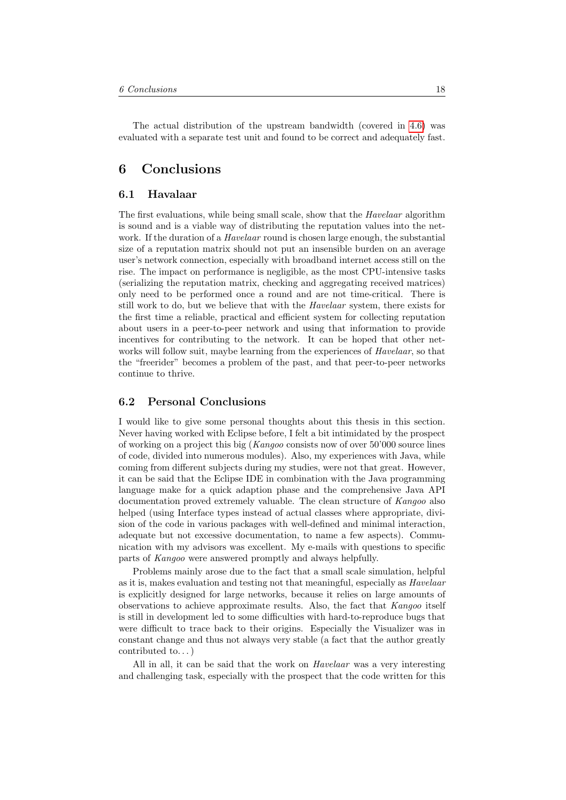The actual distribution of the upstream bandwidth (covered in [4.6\)](#page-12-0) was evaluated with a separate test unit and found to be correct and adequately fast.

# <span id="page-18-0"></span>6 Conclusions

## <span id="page-18-1"></span>6.1 Havalaar

The first evaluations, while being small scale, show that the Havelaar algorithm is sound and is a viable way of distributing the reputation values into the network. If the duration of a *Havelaar* round is chosen large enough, the substantial size of a reputation matrix should not put an insensible burden on an average user's network connection, especially with broadband internet access still on the rise. The impact on performance is negligible, as the most CPU-intensive tasks (serializing the reputation matrix, checking and aggregating received matrices) only need to be performed once a round and are not time-critical. There is still work to do, but we believe that with the Havelaar system, there exists for the first time a reliable, practical and efficient system for collecting reputation about users in a peer-to-peer network and using that information to provide incentives for contributing to the network. It can be hoped that other networks will follow suit, maybe learning from the experiences of *Havelaar*, so that the "freerider" becomes a problem of the past, and that peer-to-peer networks continue to thrive.

# <span id="page-18-2"></span>6.2 Personal Conclusions

I would like to give some personal thoughts about this thesis in this section. Never having worked with Eclipse before, I felt a bit intimidated by the prospect of working on a project this big (Kangoo consists now of over 50'000 source lines of code, divided into numerous modules). Also, my experiences with Java, while coming from different subjects during my studies, were not that great. However, it can be said that the Eclipse IDE in combination with the Java programming language make for a quick adaption phase and the comprehensive Java API documentation proved extremely valuable. The clean structure of Kangoo also helped (using Interface types instead of actual classes where appropriate, division of the code in various packages with well-defined and minimal interaction, adequate but not excessive documentation, to name a few aspects). Communication with my advisors was excellent. My e-mails with questions to specific parts of Kangoo were answered promptly and always helpfully.

Problems mainly arose due to the fact that a small scale simulation, helpful as it is, makes evaluation and testing not that meaningful, especially as *Havelaar* is explicitly designed for large networks, because it relies on large amounts of observations to achieve approximate results. Also, the fact that Kangoo itself is still in development led to some difficulties with hard-to-reproduce bugs that were difficult to trace back to their origins. Especially the Visualizer was in constant change and thus not always very stable (a fact that the author greatly contributed to. . . )

All in all, it can be said that the work on *Havelaar* was a very interesting and challenging task, especially with the prospect that the code written for this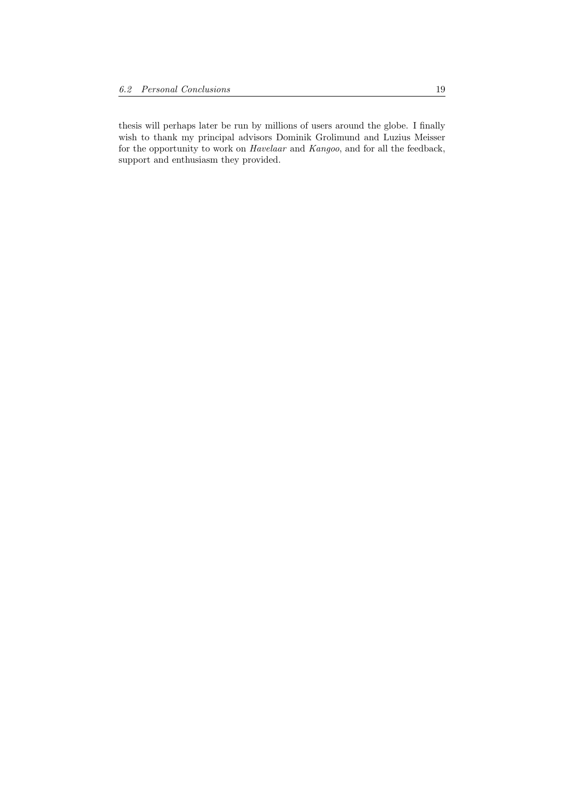thesis will perhaps later be run by millions of users around the globe. I finally wish to thank my principal advisors Dominik Grolimund and Luzius Meisser for the opportunity to work on Havelaar and Kangoo, and for all the feedback, support and enthusiasm they provided.